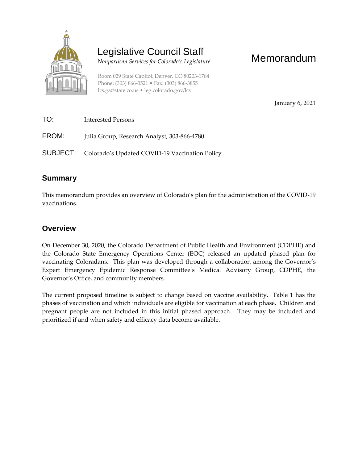

## Legislative Council Staff

 *Nonpartisan Services for Colorado's Legislature*

Room 029 State Capitol, Denver, CO 80203-1784 Phone: (303) 866-3521 • Fax: (303) 866-3855 [lcs.ga@state.co.us](mailto:lcs.ga@state.co.us) • [leg.colorado.gov/lcs](http://leg.colorado.gov/lcs)

January 6, 2021

Memorandum

| TO:   | Interested Persons                                             |
|-------|----------------------------------------------------------------|
| FROM: | Julia Group, Research Analyst, 303-866-4780                    |
|       | <b>SUBJECT:</b> Colorado's Updated COVID-19 Vaccination Policy |

## **Summary**

This memorandum provides an overview of Colorado's plan for the administration of the COVID-19 vaccinations.

## **Overview**

On December 30, 2020, the Colorado Department of Public Health and Environment (CDPHE) and the Colorado State Emergency Operations Center (EOC) released an updated phased plan for vaccinating Coloradans. This plan was developed through a collaboration among the Governor's Expert Emergency Epidemic Response Committee's Medical Advisory Group, CDPHE, the Governor's Office, and community members.

The current proposed timeline is subject to change based on vaccine availability. Table 1 has the phases of vaccination and which individuals are eligible for vaccination at each phase. Children and pregnant people are not included in this initial phased approach. They may be included and prioritized if and when safety and efficacy data become available.